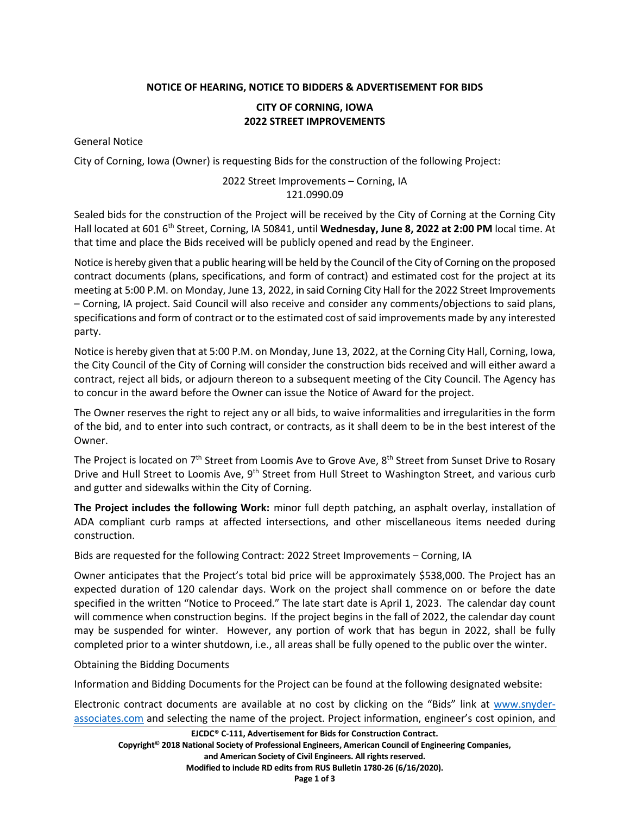## **NOTICE OF HEARING, NOTICE TO BIDDERS & ADVERTISEMENT FOR BIDS**

## **CITY OF CORNING, IOWA 2022 STREET IMPROVEMENTS**

General Notice

City of Corning, Iowa (Owner) is requesting Bids for the construction of the following Project:

## 2022 Street Improvements – Corning, IA 121.0990.09

Sealed bids for the construction of the Project will be received by the City of Corning at the Corning City Hall located at 601 6th Street, Corning, IA 50841, until **Wednesday, June 8, 2022 at 2:00 PM** local time. At that time and place the Bids received will be publicly opened and read by the Engineer.

Notice is hereby given that a public hearing will be held by the Council of the City of Corning on the proposed contract documents (plans, specifications, and form of contract) and estimated cost for the project at its meeting at 5:00 P.M. on Monday, June 13, 2022, in said Corning City Hall for the 2022 Street Improvements – Corning, IA project. Said Council will also receive and consider any comments/objections to said plans, specifications and form of contract or to the estimated cost of said improvements made by any interested party.

Notice is hereby given that at 5:00 P.M. on Monday, June 13, 2022, at the Corning City Hall, Corning, Iowa, the City Council of the City of Corning will consider the construction bids received and will either award a contract, reject all bids, or adjourn thereon to a subsequent meeting of the City Council. The Agency has to concur in the award before the Owner can issue the Notice of Award for the project.

The Owner reserves the right to reject any or all bids, to waive informalities and irregularities in the form of the bid, and to enter into such contract, or contracts, as it shall deem to be in the best interest of the Owner.

The Project is located on 7<sup>th</sup> Street from Loomis Ave to Grove Ave, 8<sup>th</sup> Street from Sunset Drive to Rosary Drive and Hull Street to Loomis Ave, 9<sup>th</sup> Street from Hull Street to Washington Street, and various curb and gutter and sidewalks within the City of Corning.

**The Project includes the following Work:** minor full depth patching, an asphalt overlay, installation of ADA compliant curb ramps at affected intersections, and other miscellaneous items needed during construction.

Bids are requested for the following Contract: 2022 Street Improvements – Corning, IA

Owner anticipates that the Project's total bid price will be approximately \$538,000. The Project has an expected duration of 120 calendar days. Work on the project shall commence on or before the date specified in the written "Notice to Proceed." The late start date is April 1, 2023. The calendar day count will commence when construction begins. If the project begins in the fall of 2022, the calendar day count may be suspended for winter. However, any portion of work that has begun in 2022, shall be fully completed prior to a winter shutdown, i.e., all areas shall be fully opened to the public over the winter.

Obtaining the Bidding Documents

Information and Bidding Documents for the Project can be found at the following designated website:

Electronic contract documents are available at no cost by clicking on the "Bids" link at [www.snyder](http://www.snyder-associates.com/)[associates.com](http://www.snyder-associates.com/) and selecting the name of the project. Project information, engineer's cost opinion, and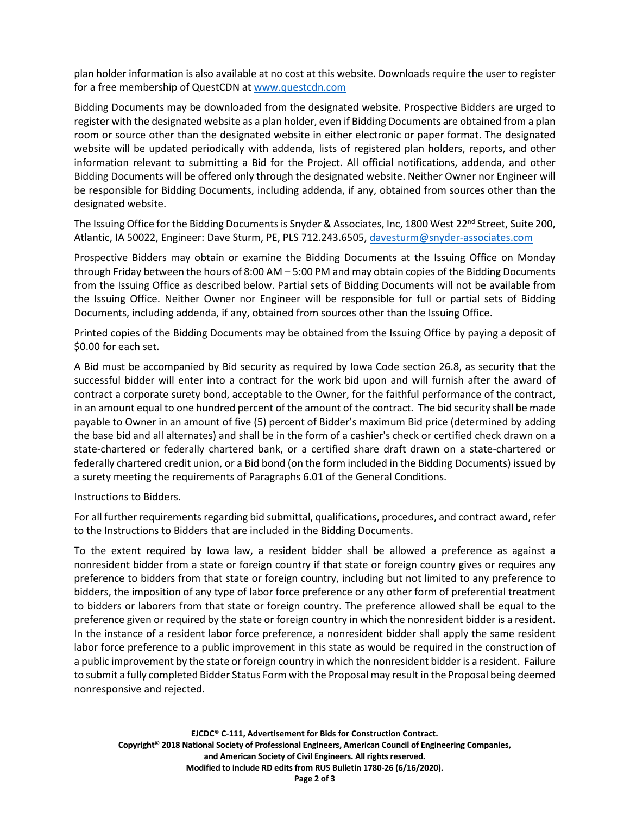plan holder information is also available at no cost at this website. Downloads require the user to register for a free membership of QuestCDN at [www.questcdn.com](http://www.questcdn.com/)

Bidding Documents may be downloaded from the designated website. Prospective Bidders are urged to register with the designated website as a plan holder, even if Bidding Documents are obtained from a plan room or source other than the designated website in either electronic or paper format. The designated website will be updated periodically with addenda, lists of registered plan holders, reports, and other information relevant to submitting a Bid for the Project. All official notifications, addenda, and other Bidding Documents will be offered only through the designated website. Neither Owner nor Engineer will be responsible for Bidding Documents, including addenda, if any, obtained from sources other than the designated website.

The Issuing Office for the Bidding Documents is Snyder & Associates, Inc, 1800 West 22<sup>nd</sup> Street, Suite 200, Atlantic, IA 50022, Engineer: Dave Sturm, PE, PLS 712.243.6505, [davesturm@snyder-associates.com](mailto:davesturm@snyder-associates.com)

Prospective Bidders may obtain or examine the Bidding Documents at the Issuing Office on Monday through Friday between the hours of 8:00 AM – 5:00 PM and may obtain copies of the Bidding Documents from the Issuing Office as described below. Partial sets of Bidding Documents will not be available from the Issuing Office. Neither Owner nor Engineer will be responsible for full or partial sets of Bidding Documents, including addenda, if any, obtained from sources other than the Issuing Office.

Printed copies of the Bidding Documents may be obtained from the Issuing Office by paying a deposit of \$0.00 for each set.

A Bid must be accompanied by Bid security as required by Iowa Code section 26.8, as security that the successful bidder will enter into a contract for the work bid upon and will furnish after the award of contract a corporate surety bond, acceptable to the Owner, for the faithful performance of the contract, in an amount equal to one hundred percent of the amount of the contract. The bid security shall be made payable to Owner in an amount of five (5) percent of Bidder's maximum Bid price (determined by adding the base bid and all alternates) and shall be in the form of a cashier's check or certified check drawn on a state-chartered or federally chartered bank, or a certified share draft drawn on a state-chartered or federally chartered credit union, or a Bid bond (on the form included in the Bidding Documents) issued by a surety meeting the requirements of Paragraphs 6.01 of the General Conditions.

Instructions to Bidders.

For all further requirements regarding bid submittal, qualifications, procedures, and contract award, refer to the Instructions to Bidders that are included in the Bidding Documents.

To the extent required by Iowa law, a resident bidder shall be allowed a preference as against a nonresident bidder from a state or foreign country if that state or foreign country gives or requires any preference to bidders from that state or foreign country, including but not limited to any preference to bidders, the imposition of any type of labor force preference or any other form of preferential treatment to bidders or laborers from that state or foreign country. The preference allowed shall be equal to the preference given or required by the state or foreign country in which the nonresident bidder is a resident. In the instance of a resident labor force preference, a nonresident bidder shall apply the same resident labor force preference to a public improvement in this state as would be required in the construction of a public improvement by the state or foreign country in which the nonresident bidder is a resident. Failure to submit a fully completed Bidder Status Form with the Proposal may result in the Proposal being deemed nonresponsive and rejected.